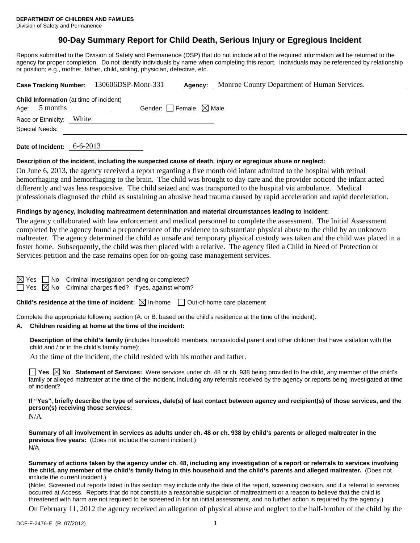# **90-Day Summary Report for Child Death, Serious Injury or Egregious Incident**

Reports submitted to the Division of Safety and Permanence (DSP) that do not include all of the required information will be returned to the agency for proper completion. Do not identify individuals by name when completing this report. Individuals may be referenced by relationship or position; e.g., mother, father, child, sibling, physician, detective, etc.

|                          |                                                | Case Tracking Number: 130606DSP-Monr-331 | Agency: | Monroe County Department of Human Services. |
|--------------------------|------------------------------------------------|------------------------------------------|---------|---------------------------------------------|
| Age: $5$ months          | <b>Child Information</b> (at time of incident) | Gender: Female $\boxtimes$ Male          |         |                                             |
| Race or Ethnicity: White |                                                |                                          |         |                                             |
| Special Needs:           |                                                |                                          |         |                                             |
|                          | $\sim$ $\sim$ $\sim$ $\sim$                    |                                          |         |                                             |

**Date of Incident:** 6-6-2013

## **Description of the incident, including the suspected cause of death, injury or egregious abuse or neglect:**

On June 6, 2013, the agency received a report regarding a five month old infant admitted to the hospital with retinal hemorrhaging and hemorrhaging to the brain. The child was brought to day care and the provider noticed the infant acted differently and was less responsive. The child seized and was transported to the hospital via ambulance. Medical professionals diagnosed the child as sustaining an abusive head trauma caused by rapid acceleration and rapid deceleration.

## **Findings by agency, including maltreatment determination and material circumstances leading to incident:**

The agency collaborated with law enforcement and medical personnel to complete the assessment. The Initial Assessment completed by the agency found a preponderance of the evidence to substantiate physical abuse to the child by an unknown maltreater. The agency determined the child as unsafe and temporary physical custody was taken and the child was placed in a foster home. Subsequently, the child was then placed with a relative. The agency filed a Child in Need of Protection or Services petition and the case remains open for on-going case management services.

No Criminal investigation pending or completed?

 $\Box$  Yes  $\boxtimes$  No Criminal charges filed? If yes, against whom?

**Child's residence at the time of incident:**  $\boxtimes$  In-home  $\Box$  Out-of-home care placement

Complete the appropriate following section (A. or B. based on the child's residence at the time of the incident).

#### **A. Children residing at home at the time of the incident:**

**Description of the child's family** (includes household members, noncustodial parent and other children that have visitation with the child and / or in the child's family home):

At the time of the incident, the child resided with his mother and father.

**Yes**  $\boxtimes$  **No** Statement of Services: Were services under ch. 48 or ch. 938 being provided to the child, any member of the child's family or alleged maltreater at the time of the incident, including any referrals received by the agency or reports being investigated at time of incident?

**If "Yes", briefly describe the type of services, date(s) of last contact between agency and recipient(s) of those services, and the person(s) receiving those services:** 

N/A

**Summary of all involvement in services as adults under ch. 48 or ch. 938 by child's parents or alleged maltreater in the previous five years:** (Does not include the current incident.) N/A

**Summary of actions taken by the agency under ch. 48, including any investigation of a report or referrals to services involving the child, any member of the child's family living in this household and the child's parents and alleged maltreater.** (Does not include the current incident.)

(Note: Screened out reports listed in this section may include only the date of the report, screening decision, and if a referral to services occurred at Access. Reports that do not constitute a reasonable suspicion of maltreatment or a reason to believe that the child is threatened with harm are not required to be screened in for an initial assessment, and no further action is required by the agency.)

On February 11, 2012 the agency received an allegation of physical abuse and neglect to the half-brother of the child by the